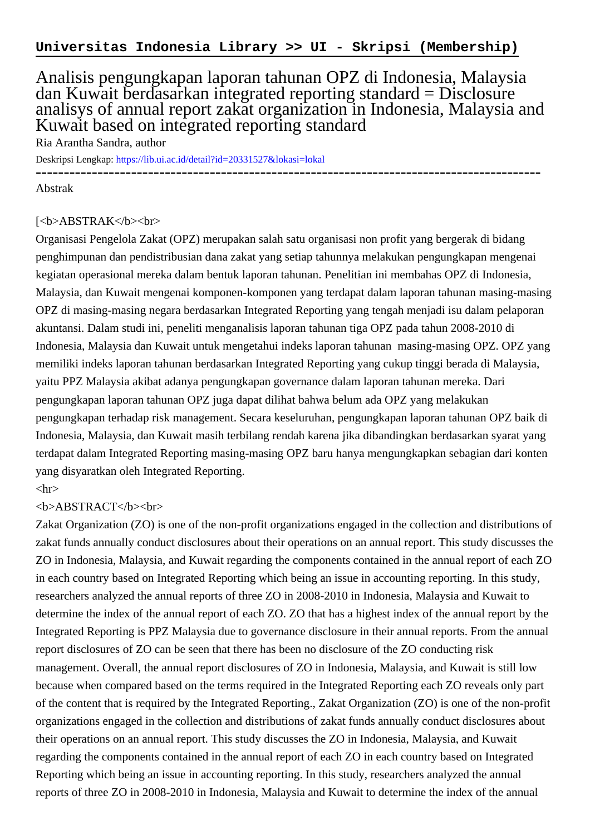## Analisis pengungkapan laporan tahunan OPZ di Indonesia, Malaysia dan Kuwait berdasarkan integrated reporting standard = Disclosure analisys of annual report zakat organization in Indonesia, Malaysia and Kuwait based on integrated reporting standard

Ria Arantha Sandra, author

Deskripsi Lengkap:<https://lib.ui.ac.id/detail?id=20331527&lokasi=lokal>

------------------------------------------------------------------------------------------

Abstrak

## [<b>ABSTRAK</b><br>

Organisasi Pengelola Zakat (OPZ) merupakan salah satu organisasi non profit yang bergerak di bidang penghimpunan dan pendistribusian dana zakat yang setiap tahunnya melakukan pengungkapan mengenai kegiatan operasional mereka dalam bentuk laporan tahunan. Penelitian ini membahas OPZ di Indonesia, Malaysia, dan Kuwait mengenai komponen-komponen yang terdapat dalam laporan tahunan masing-masing OPZ di masing-masing negara berdasarkan Integrated Reporting yang tengah menjadi isu dalam pelaporan akuntansi. Dalam studi ini, peneliti menganalisis laporan tahunan tiga OPZ pada tahun 2008-2010 di Indonesia, Malaysia dan Kuwait untuk mengetahui indeks laporan tahunan masing-masing OPZ. OPZ yang memiliki indeks laporan tahunan berdasarkan Integrated Reporting yang cukup tinggi berada di Malaysia, yaitu PPZ Malaysia akibat adanya pengungkapan governance dalam laporan tahunan mereka. Dari pengungkapan laporan tahunan OPZ juga dapat dilihat bahwa belum ada OPZ yang melakukan pengungkapan terhadap risk management. Secara keseluruhan, pengungkapan laporan tahunan OPZ baik di Indonesia, Malaysia, dan Kuwait masih terbilang rendah karena jika dibandingkan berdasarkan syarat yang terdapat dalam Integrated Reporting masing-masing OPZ baru hanya mengungkapkan sebagian dari konten yang disyaratkan oleh Integrated Reporting.

 $\langle$ hr $>$ 

## <b>ABSTRACT</b><br>

Zakat Organization (ZO) is one of the non-profit organizations engaged in the collection and distributions of zakat funds annually conduct disclosures about their operations on an annual report. This study discusses the ZO in Indonesia, Malaysia, and Kuwait regarding the components contained in the annual report of each ZO in each country based on Integrated Reporting which being an issue in accounting reporting. In this study, researchers analyzed the annual reports of three ZO in 2008-2010 in Indonesia, Malaysia and Kuwait to determine the index of the annual report of each ZO. ZO that has a highest index of the annual report by the Integrated Reporting is PPZ Malaysia due to governance disclosure in their annual reports. From the annual report disclosures of ZO can be seen that there has been no disclosure of the ZO conducting risk management. Overall, the annual report disclosures of ZO in Indonesia, Malaysia, and Kuwait is still low because when compared based on the terms required in the Integrated Reporting each ZO reveals only part of the content that is required by the Integrated Reporting., Zakat Organization (ZO) is one of the non-profit organizations engaged in the collection and distributions of zakat funds annually conduct disclosures about their operations on an annual report. This study discusses the ZO in Indonesia, Malaysia, and Kuwait regarding the components contained in the annual report of each ZO in each country based on Integrated Reporting which being an issue in accounting reporting. In this study, researchers analyzed the annual reports of three ZO in 2008-2010 in Indonesia, Malaysia and Kuwait to determine the index of the annual